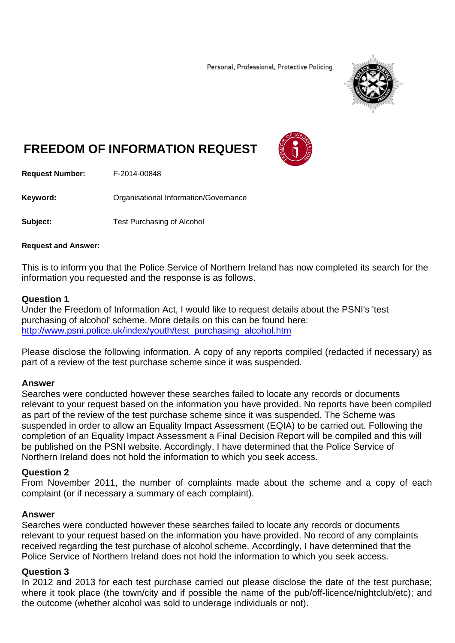Personal, Professional, Protective Policing



# **FREEDOM OF INFORMATION REQUEST**



**Request Number:** F-2014-00848

**Keyword: C**rganisational Information/Governance

**Subject:** Test Purchasing of Alcohol

#### **Request and Answer:**

This is to inform you that the Police Service of Northern Ireland has now completed its search for the information you requested and the response is as follows.

#### **Question 1**

Under the Freedom of Information Act, I would like to request details about the PSNI's 'test purchasing of alcohol' scheme. More details on this can be found here: http://www.psni.police.uk/index/youth/test\_purchasing\_alcohol.htm

Please disclose the following information. A copy of any reports compiled (redacted if necessary) as part of a review of the test purchase scheme since it was suspended.

# **Answer**

Searches were conducted however these searches failed to locate any records or documents relevant to your request based on the information you have provided. No reports have been compiled as part of the review of the test purchase scheme since it was suspended. The Scheme was suspended in order to allow an Equality Impact Assessment (EQIA) to be carried out. Following the completion of an Equality Impact Assessment a Final Decision Report will be compiled and this will be published on the PSNI website. Accordingly, I have determined that the Police Service of Northern Ireland does not hold the information to which you seek access.

# **Question 2**

From November 2011, the number of complaints made about the scheme and a copy of each complaint (or if necessary a summary of each complaint).

# **Answer**

Searches were conducted however these searches failed to locate any records or documents relevant to your request based on the information you have provided. No record of any complaints received regarding the test purchase of alcohol scheme. Accordingly, I have determined that the Police Service of Northern Ireland does not hold the information to which you seek access.

# **Question 3**

In 2012 and 2013 for each test purchase carried out please disclose the date of the test purchase; where it took place (the town/city and if possible the name of the pub/off-licence/nightclub/etc); and the outcome (whether alcohol was sold to underage individuals or not).